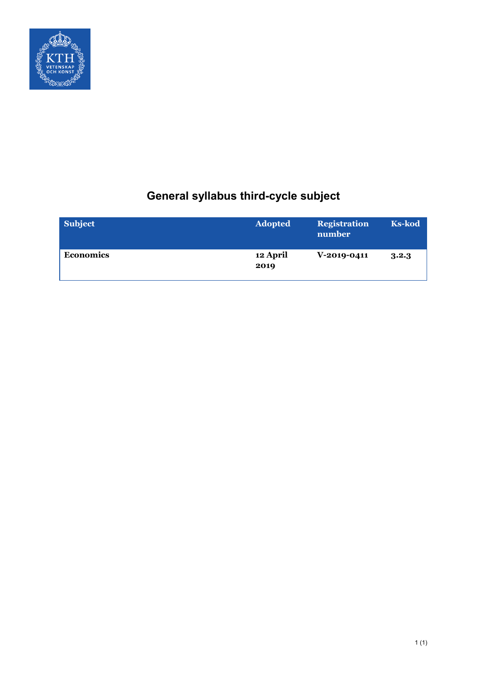

# **General syllabus third-cycle subject**

| <b>Subject</b> | <b>Adopted</b>   | <b>Registration</b><br>number | <b>Ks-kod</b> |
|----------------|------------------|-------------------------------|---------------|
| Economics      | 12 April<br>2019 | $V-2019-0411$                 | 3.2.3         |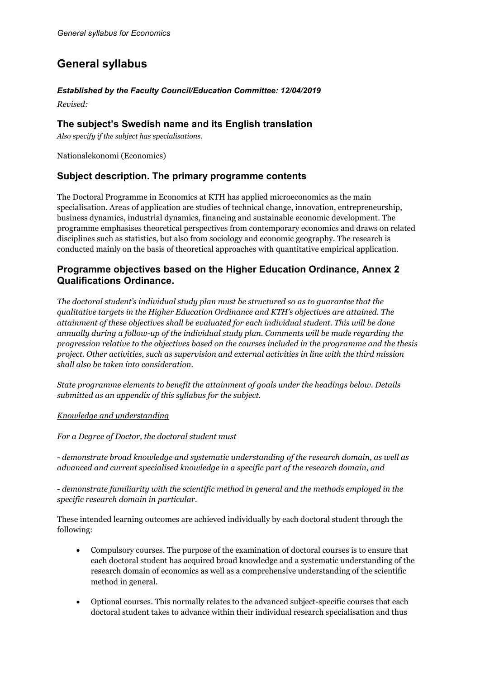## **General syllabus**

## *Established by the Faculty Council/Education Committee: 12/04/2019*

*Revised:* 

## **The subject's Swedish name and its English translation**

*Also specify if the subject has specialisations.*

Nationalekonomi (Economics)

## **Subject description. The primary programme contents**

The Doctoral Programme in Economics at KTH has applied microeconomics as the main specialisation. Areas of application are studies of technical change, innovation, entrepreneurship, business dynamics, industrial dynamics, financing and sustainable economic development. The programme emphasises theoretical perspectives from contemporary economics and draws on related disciplines such as statistics, but also from sociology and economic geography. The research is conducted mainly on the basis of theoretical approaches with quantitative empirical application.

## **Programme objectives based on the Higher Education Ordinance, Annex 2 Qualifications Ordinance.**

*The doctoral student's individual study plan must be structured so as to guarantee that the qualitative targets in the Higher Education Ordinance and KTH's objectives are attained. The attainment of these objectives shall be evaluated for each individual student. This will be done annually during a follow-up of the individual study plan. Comments will be made regarding the progression relative to the objectives based on the courses included in the programme and the thesis project. Other activities, such as supervision and external activities in line with the third mission shall also be taken into consideration.*

*State programme elements to benefit the attainment of goals under the headings below. Details submitted as an appendix of this syllabus for the subject.*

## *Knowledge and understanding*

*For a Degree of Doctor, the doctoral student must*

*- demonstrate broad knowledge and systematic understanding of the research domain, as well as advanced and current specialised knowledge in a specific part of the research domain, and*

*- demonstrate familiarity with the scientific method in general and the methods employed in the specific research domain in particular.*

These intended learning outcomes are achieved individually by each doctoral student through the following:

- Compulsory courses. The purpose of the examination of doctoral courses is to ensure that each doctoral student has acquired broad knowledge and a systematic understanding of the research domain of economics as well as a comprehensive understanding of the scientific method in general.
- Optional courses. This normally relates to the advanced subject-specific courses that each doctoral student takes to advance within their individual research specialisation and thus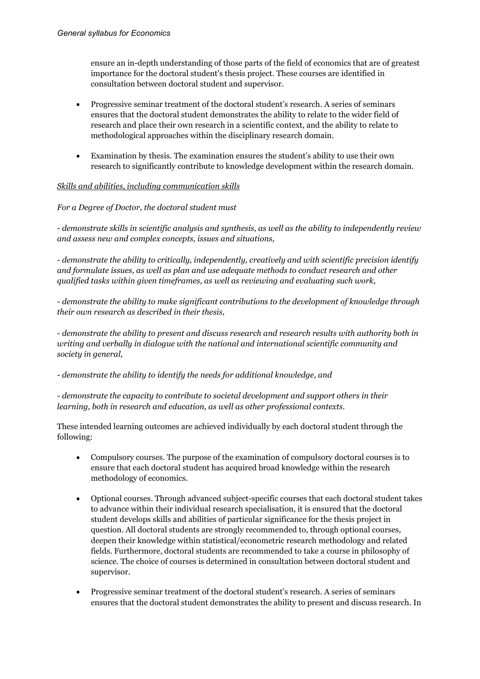ensure an in-depth understanding of those parts of the field of economics that are of greatest importance for the doctoral student's thesis project. These courses are identified in consultation between doctoral student and supervisor.

- Progressive seminar treatment of the doctoral student's research. A series of seminars ensures that the doctoral student demonstrates the ability to relate to the wider field of research and place their own research in a scientific context, and the ability to relate to methodological approaches within the disciplinary research domain.
- Examination by thesis. The examination ensures the student's ability to use their own research to significantly contribute to knowledge development within the research domain.

## *Skills and abilities, including communication skills*

## *For a Degree of Doctor, the doctoral student must*

*- demonstrate skills in scientific analysis and synthesis, as well as the ability to independently review and assess new and complex concepts, issues and situations,*

*- demonstrate the ability to critically, independently, creatively and with scientific precision identify and formulate issues, as well as plan and use adequate methods to conduct research and other qualified tasks within given timeframes, as well as reviewing and evaluating such work,*

*- demonstrate the ability to make significant contributions to the development of knowledge through their own research as described in their thesis,*

*- demonstrate the ability to present and discuss research and research results with authority both in writing and verbally in dialogue with the national and international scientific community and society in general,*

*- demonstrate the ability to identify the needs for additional knowledge, and*

*- demonstrate the capacity to contribute to societal development and support others in their learning, both in research and education, as well as other professional contexts.*

These intended learning outcomes are achieved individually by each doctoral student through the following:

- Compulsory courses. The purpose of the examination of compulsory doctoral courses is to ensure that each doctoral student has acquired broad knowledge within the research methodology of economics.
- Optional courses. Through advanced subject-specific courses that each doctoral student takes to advance within their individual research specialisation, it is ensured that the doctoral student develops skills and abilities of particular significance for the thesis project in question. All doctoral students are strongly recommended to, through optional courses, deepen their knowledge within statistical/econometric research methodology and related fields. Furthermore, doctoral students are recommended to take a course in philosophy of science. The choice of courses is determined in consultation between doctoral student and supervisor.
- Progressive seminar treatment of the doctoral student's research. A series of seminars ensures that the doctoral student demonstrates the ability to present and discuss research. In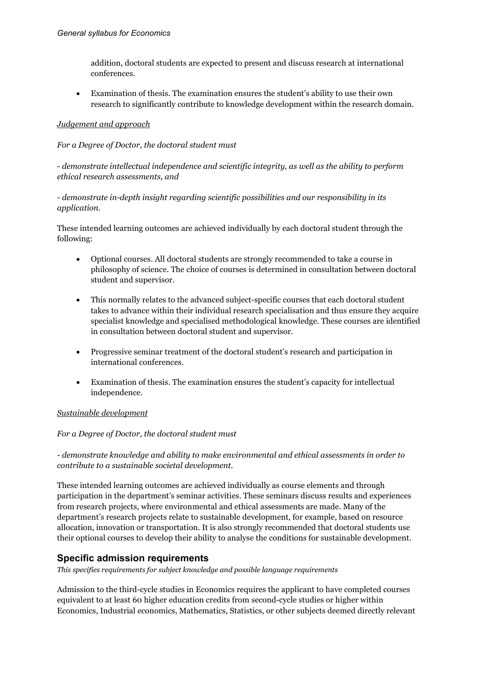addition, doctoral students are expected to present and discuss research at international conferences.

• Examination of thesis. The examination ensures the student's ability to use their own research to significantly contribute to knowledge development within the research domain.

## *Judgement and approach*

## *For a Degree of Doctor, the doctoral student must*

## *- demonstrate intellectual independence and scientific integrity, as well as the ability to perform ethical research assessments, and*

## *- demonstrate in-depth insight regarding scientific possibilities and our responsibility in its application.*

These intended learning outcomes are achieved individually by each doctoral student through the following:

- Optional courses. All doctoral students are strongly recommended to take a course in philosophy of science. The choice of courses is determined in consultation between doctoral student and supervisor.
- This normally relates to the advanced subject-specific courses that each doctoral student takes to advance within their individual research specialisation and thus ensure they acquire specialist knowledge and specialised methodological knowledge. These courses are identified in consultation between doctoral student and supervisor.
- Progressive seminar treatment of the doctoral student's research and participation in international conferences.
- Examination of thesis. The examination ensures the student's capacity for intellectual independence.

#### *Sustainable development*

#### *For a Degree of Doctor, the doctoral student must*

*- demonstrate knowledge and ability to make environmental and ethical assessments in order to contribute to a sustainable societal development.*

These intended learning outcomes are achieved individually as course elements and through participation in the department's seminar activities. These seminars discuss results and experiences from research projects, where environmental and ethical assessments are made. Many of the department's research projects relate to sustainable development, for example, based on resource allocation, innovation or transportation. It is also strongly recommended that doctoral students use their optional courses to develop their ability to analyse the conditions for sustainable development.

## **Specific admission requirements**

*This specifies requirements for subject knowledge and possible language requirements*

Admission to the third-cycle studies in Economics requires the applicant to have completed courses equivalent to at least 60 higher education credits from second-cycle studies or higher within Economics, Industrial economics, Mathematics, Statistics, or other subjects deemed directly relevant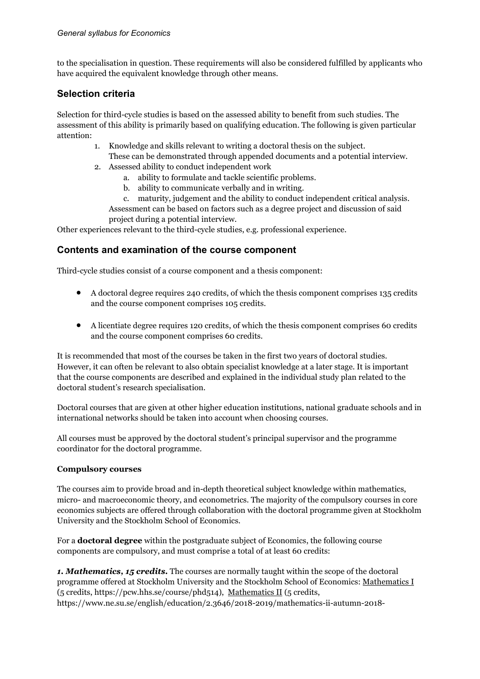to the specialisation in question. These requirements will also be considered fulfilled by applicants who have acquired the equivalent knowledge through other means.

## **Selection criteria**

Selection for third-cycle studies is based on the assessed ability to benefit from such studies. The assessment of this ability is primarily based on qualifying education. The following is given particular attention:

- 1. Knowledge and skills relevant to writing a doctoral thesis on the subject. These can be demonstrated through appended documents and a potential interview.
- 2. Assessed ability to conduct independent work
	- a. ability to formulate and tackle scientific problems.
	- b. ability to communicate verbally and in writing.

c. maturity, judgement and the ability to conduct independent critical analysis. Assessment can be based on factors such as a degree project and discussion of said project during a potential interview.

Other experiences relevant to the third-cycle studies, e.g. professional experience.

## **Contents and examination of the course component**

Third-cycle studies consist of a course component and a thesis component:

- A doctoral degree requires 240 credits, of which the thesis component comprises 135 credits and the course component comprises 105 credits.
- A licentiate degree requires 120 credits, of which the thesis component comprises 60 credits and the course component comprises 60 credits.

It is recommended that most of the courses be taken in the first two years of doctoral studies. However, it can often be relevant to also obtain specialist knowledge at a later stage. It is important that the course components are described and explained in the individual study plan related to the doctoral student's research specialisation.

Doctoral courses that are given at other higher education institutions, national graduate schools and in international networks should be taken into account when choosing courses.

All courses must be approved by the doctoral student's principal supervisor and the programme coordinator for the doctoral programme.

## **Compulsory courses**

The courses aim to provide broad and in-depth theoretical subject knowledge within mathematics, micro- and macroeconomic theory, and econometrics. The majority of the compulsory courses in core economics subjects are offered through collaboration with the doctoral programme given at Stockholm University and the Stockholm School of Economics.

For a **doctoral degree** within the postgraduate subject of Economics, the following course components are compulsory, and must comprise a total of at least 60 credits:

*1. Mathematics, 15 credits.* The courses are normally taught within the scope of the doctoral programme offered at Stockholm University and the Stockholm School of Economics: Mathematics I (5 credits, https://pcw.hhs.se/course/phd514), Mathematics II (5 credits, https://www.ne.su.se/english/education/2.3646/2018-2019/mathematics-ii-autumn-2018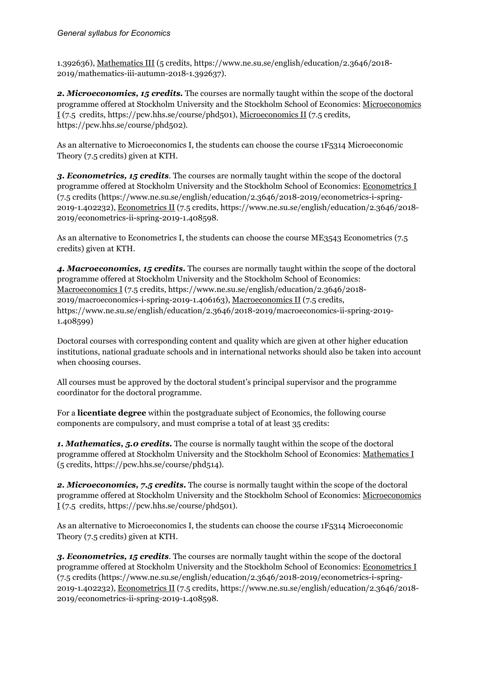1.392636), Mathematics III (5 credits, https://www.ne.su.se/english/education/2.3646/2018- 2019/mathematics-iii-autumn-2018-1.392637).

2. Microeconomics, 15 credits. The courses are normally taught within the scope of the doctoral programme offered at Stockholm University and the Stockholm School of Economics: Microeconomics I (7.5 credits, https://pcw.hhs.se/course/phd501), Microeconomics II (7.5 credits, https://pcw.hhs.se/course/phd502).

As an alternative to Microeconomics I, the students can choose the course 1F5314 Microeconomic Theory (7.5 credits) given at KTH.

*3. Econometrics, 15 credits*. The courses are normally taught within the scope of the doctoral programme offered at Stockholm University and the Stockholm School of Economics: Econometrics I (7.5 credits (https://www.ne.su.se/english/education/2.3646/2018-2019/econometrics-i-spring-2019-1.402232), Econometrics II (7.5 credits, https://www.ne.su.se/english/education/2.3646/2018- 2019/econometrics-ii-spring-2019-1.408598.

As an alternative to Econometrics I, the students can choose the course ME3543 Econometrics (7.5 credits) given at KTH.

*4. Macroeconomics, 15 credits.* The courses are normally taught within the scope of the doctoral programme offered at Stockholm University and the Stockholm School of Economics: Macroeconomics I (7.5 credits, https://www.ne.su.se/english/education/2.3646/2018- 2019/macroeconomics-i-spring-2019-1.406163), Macroeconomics II (7.5 credits, https://www.ne.su.se/english/education/2.3646/2018-2019/macroeconomics-ii-spring-2019- 1.408599)

Doctoral courses with corresponding content and quality which are given at other higher education institutions, national graduate schools and in international networks should also be taken into account when choosing courses.

All courses must be approved by the doctoral student's principal supervisor and the programme coordinator for the doctoral programme.

For a **licentiate degree** within the postgraduate subject of Economics, the following course components are compulsory, and must comprise a total of at least 35 credits:

*1. Mathematics, 5.0 credits.* The course is normally taught within the scope of the doctoral programme offered at Stockholm University and the Stockholm School of Economics: Mathematics I (5 credits, https://pcw.hhs.se/course/phd514).

*2. Microeconomics, 7.5 credits.* The course is normally taught within the scope of the doctoral programme offered at Stockholm University and the Stockholm School of Economics: Microeconomics  $I(7.5 \text{ credits}, \text{https://pow.hhs.se/course/phd501}).$ 

As an alternative to Microeconomics I, the students can choose the course 1F5314 Microeconomic Theory (7.5 credits) given at KTH.

*3. Econometrics, 15 credits*. The courses are normally taught within the scope of the doctoral programme offered at Stockholm University and the Stockholm School of Economics: Econometrics I (7.5 credits (https://www.ne.su.se/english/education/2.3646/2018-2019/econometrics-i-spring-2019-1.402232), Econometrics II (7.5 credits, https://www.ne.su.se/english/education/2.3646/2018- 2019/econometrics-ii-spring-2019-1.408598.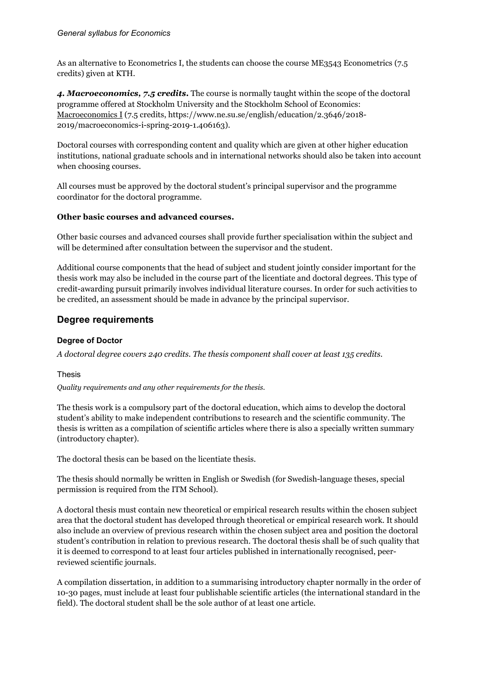As an alternative to Econometrics I, the students can choose the course ME3543 Econometrics (7.5 credits) given at KTH.

*4. Macroeconomics, 7.5 credits.* The course is normally taught within the scope of the doctoral programme offered at Stockholm University and the Stockholm School of Economics: Macroeconomics I (7.5 credits, https://www.ne.su.se/english/education/2.3646/2018- 2019/macroeconomics-i-spring-2019-1.406163).

Doctoral courses with corresponding content and quality which are given at other higher education institutions, national graduate schools and in international networks should also be taken into account when choosing courses.

All courses must be approved by the doctoral student's principal supervisor and the programme coordinator for the doctoral programme.

## **Other basic courses and advanced courses.**

Other basic courses and advanced courses shall provide further specialisation within the subject and will be determined after consultation between the supervisor and the student.

Additional course components that the head of subject and student jointly consider important for the thesis work may also be included in the course part of the licentiate and doctoral degrees. This type of credit-awarding pursuit primarily involves individual literature courses. In order for such activities to be credited, an assessment should be made in advance by the principal supervisor.

## **Degree requirements**

## **Degree of Doctor**

*A doctoral degree covers 240 credits. The thesis component shall cover at least 135 credits.*

## Thesis

*Quality requirements and any other requirements for the thesis.*

The thesis work is a compulsory part of the doctoral education, which aims to develop the doctoral student's ability to make independent contributions to research and the scientific community. The thesis is written as a compilation of scientific articles where there is also a specially written summary (introductory chapter).

The doctoral thesis can be based on the licentiate thesis.

The thesis should normally be written in English or Swedish (for Swedish-language theses, special permission is required from the ITM School).

A doctoral thesis must contain new theoretical or empirical research results within the chosen subject area that the doctoral student has developed through theoretical or empirical research work. It should also include an overview of previous research within the chosen subject area and position the doctoral student's contribution in relation to previous research. The doctoral thesis shall be of such quality that it is deemed to correspond to at least four articles published in internationally recognised, peerreviewed scientific journals.

A compilation dissertation, in addition to a summarising introductory chapter normally in the order of 10-30 pages, must include at least four publishable scientific articles (the international standard in the field). The doctoral student shall be the sole author of at least one article.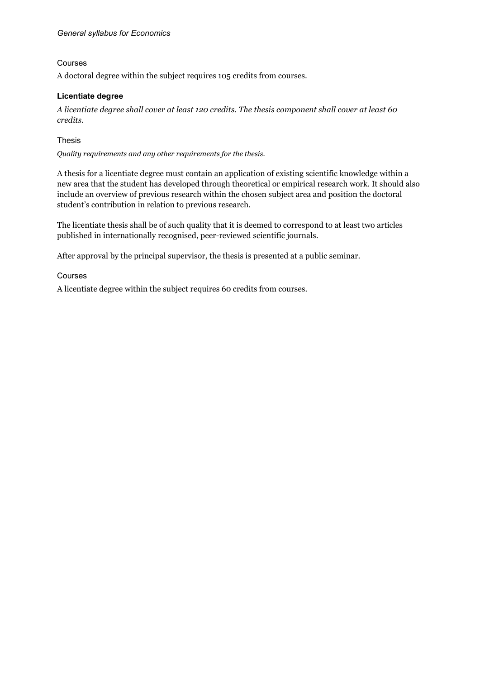## Courses

A doctoral degree within the subject requires 105 credits from courses.

## **Licentiate degree**

*A licentiate degree shall cover at least 120 credits. The thesis component shall cover at least 60 credits.*

## Thesis

*Quality requirements and any other requirements for the thesis.*

A thesis for a licentiate degree must contain an application of existing scientific knowledge within a new area that the student has developed through theoretical or empirical research work. It should also include an overview of previous research within the chosen subject area and position the doctoral student's contribution in relation to previous research.

The licentiate thesis shall be of such quality that it is deemed to correspond to at least two articles published in internationally recognised, peer-reviewed scientific journals.

After approval by the principal supervisor, the thesis is presented at a public seminar.

Courses

A licentiate degree within the subject requires 60 credits from courses.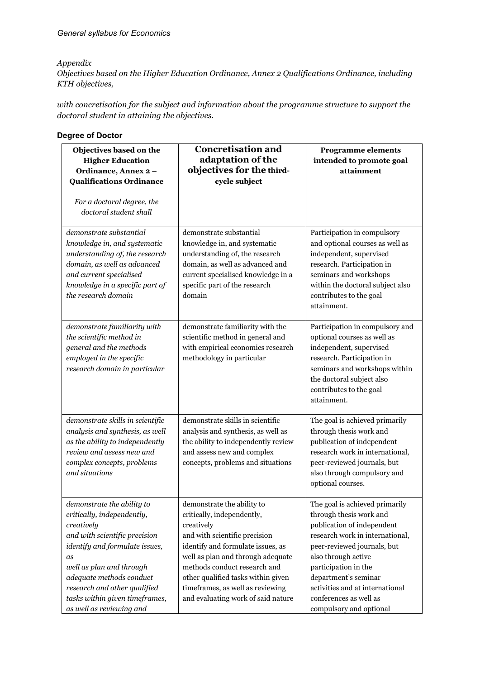#### *Appendix*

*Objectives based on the Higher Education Ordinance, Annex 2 Qualifications Ordinance, including KTH objectives,*

*with concretisation for the subject and information about the programme structure to support the doctoral student in attaining the objectives.*

| Objectives based on the<br><b>Higher Education</b><br>Ordinance, Annex 2-<br><b>Qualifications Ordinance</b><br>For a doctoral degree, the<br>doctoral student shall                                                                                                                                  | <b>Concretisation and</b><br>adaptation of the<br>objectives for the third-<br>cycle subject                                                                                                                                                                                                                                      | <b>Programme elements</b><br>intended to promote goal<br>attainment                                                                                                                                                                                                                                                      |
|-------------------------------------------------------------------------------------------------------------------------------------------------------------------------------------------------------------------------------------------------------------------------------------------------------|-----------------------------------------------------------------------------------------------------------------------------------------------------------------------------------------------------------------------------------------------------------------------------------------------------------------------------------|--------------------------------------------------------------------------------------------------------------------------------------------------------------------------------------------------------------------------------------------------------------------------------------------------------------------------|
| demonstrate substantial<br>knowledge in, and systematic<br>understanding of, the research<br>domain, as well as advanced<br>and current specialised<br>knowledge in a specific part of<br>the research domain                                                                                         | demonstrate substantial<br>knowledge in, and systematic<br>understanding of, the research<br>domain, as well as advanced and<br>current specialised knowledge in a<br>specific part of the research<br>domain                                                                                                                     | Participation in compulsory<br>and optional courses as well as<br>independent, supervised<br>research. Participation in<br>seminars and workshops<br>within the doctoral subject also<br>contributes to the goal<br>attainment.                                                                                          |
| demonstrate familiarity with<br>the scientific method in<br>general and the methods<br>employed in the specific<br>research domain in particular                                                                                                                                                      | demonstrate familiarity with the<br>scientific method in general and<br>with empirical economics research<br>methodology in particular                                                                                                                                                                                            | Participation in compulsory and<br>optional courses as well as<br>independent, supervised<br>research. Participation in<br>seminars and workshops within<br>the doctoral subject also<br>contributes to the goal<br>attainment.                                                                                          |
| demonstrate skills in scientific<br>analysis and synthesis, as well<br>as the ability to independently<br>review and assess new and<br>complex concepts, problems<br>and situations                                                                                                                   | demonstrate skills in scientific<br>analysis and synthesis, as well as<br>the ability to independently review<br>and assess new and complex<br>concepts, problems and situations                                                                                                                                                  | The goal is achieved primarily<br>through thesis work and<br>publication of independent<br>research work in international,<br>peer-reviewed journals, but<br>also through compulsory and<br>optional courses.                                                                                                            |
| demonstrate the ability to<br>critically, independently,<br>creatively<br>and with scientific precision<br>identify and formulate issues,<br>as<br>well as plan and through<br>adequate methods conduct<br>research and other qualified<br>tasks within given timeframes,<br>as well as reviewing and | demonstrate the ability to<br>critically, independently,<br>creatively<br>and with scientific precision<br>identify and formulate issues, as<br>well as plan and through adequate<br>methods conduct research and<br>other qualified tasks within given<br>timeframes, as well as reviewing<br>and evaluating work of said nature | The goal is achieved primarily<br>through thesis work and<br>publication of independent<br>research work in international,<br>peer-reviewed journals, but<br>also through active<br>participation in the<br>department's seminar<br>activities and at international<br>conferences as well as<br>compulsory and optional |

#### **Degree of Doctor**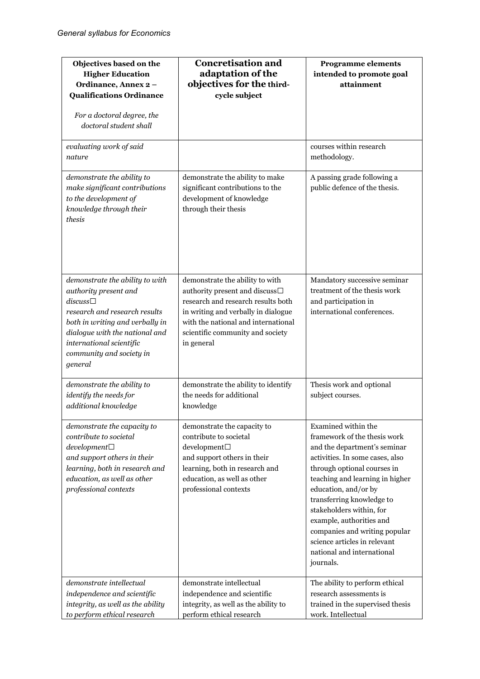| Objectives based on the<br><b>Higher Education</b><br>Ordinance, Annex 2-<br><b>Qualifications Ordinance</b><br>For a doctoral degree, the<br>doctoral student shall                                                                                  | <b>Concretisation and</b><br>adaptation of the<br>objectives for the third-<br>cycle subject                                                                                                                                            | <b>Programme elements</b><br>intended to promote goal<br>attainment                                                                                                                                                                                                                                                                                                                                               |
|-------------------------------------------------------------------------------------------------------------------------------------------------------------------------------------------------------------------------------------------------------|-----------------------------------------------------------------------------------------------------------------------------------------------------------------------------------------------------------------------------------------|-------------------------------------------------------------------------------------------------------------------------------------------------------------------------------------------------------------------------------------------------------------------------------------------------------------------------------------------------------------------------------------------------------------------|
| evaluating work of said<br>nature                                                                                                                                                                                                                     |                                                                                                                                                                                                                                         | courses within research<br>methodology.                                                                                                                                                                                                                                                                                                                                                                           |
| demonstrate the ability to<br>make significant contributions<br>to the development of<br>knowledge through their<br>thesis                                                                                                                            | demonstrate the ability to make<br>significant contributions to the<br>development of knowledge<br>through their thesis                                                                                                                 | A passing grade following a<br>public defence of the thesis.                                                                                                                                                                                                                                                                                                                                                      |
| demonstrate the ability to with<br>authority present and<br>$discuss\square$<br>research and research results<br>both in writing and verbally in<br>dialogue with the national and<br>international scientific<br>community and society in<br>general | demonstrate the ability to with<br>authority present and discuss□<br>research and research results both<br>in writing and verbally in dialogue<br>with the national and international<br>scientific community and society<br>in general | Mandatory successive seminar<br>treatment of the thesis work<br>and participation in<br>international conferences.                                                                                                                                                                                                                                                                                                |
| demonstrate the ability to<br>identify the needs for<br>additional knowledge                                                                                                                                                                          | demonstrate the ability to identify<br>the needs for additional<br>knowledge                                                                                                                                                            | Thesis work and optional<br>subject courses.                                                                                                                                                                                                                                                                                                                                                                      |
| demonstrate the capacity to<br>contribute to societal<br>$development\square$<br>and support others in their<br>learning, both in research and<br>education, as well as other<br>professional contexts                                                | demonstrate the capacity to<br>contribute to societal<br>$d$ evelopment $\Box$<br>and support others in their<br>learning, both in research and<br>education, as well as other<br>professional contexts                                 | Examined within the<br>framework of the thesis work<br>and the department's seminar<br>activities. In some cases, also<br>through optional courses in<br>teaching and learning in higher<br>education, and/or by<br>transferring knowledge to<br>stakeholders within, for<br>example, authorities and<br>companies and writing popular<br>science articles in relevant<br>national and international<br>journals. |
| demonstrate intellectual<br>independence and scientific<br>integrity, as well as the ability<br>to perform ethical research                                                                                                                           | demonstrate intellectual<br>independence and scientific<br>integrity, as well as the ability to<br>perform ethical research                                                                                                             | The ability to perform ethical<br>research assessments is<br>trained in the supervised thesis<br>work. Intellectual                                                                                                                                                                                                                                                                                               |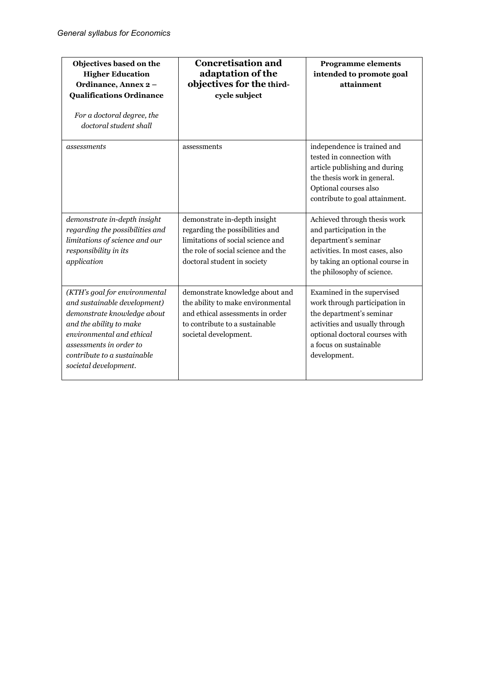| Objectives based on the<br><b>Higher Education</b><br>Ordinance, Annex 2-<br><b>Qualifications Ordinance</b><br>For a doctoral degree, the<br>doctoral student shall                                                                    | <b>Concretisation and</b><br>adaptation of the<br>objectives for the third-<br>cycle subject                                                                              | <b>Programme elements</b><br>intended to promote goal<br>attainment                                                                                                                                   |
|-----------------------------------------------------------------------------------------------------------------------------------------------------------------------------------------------------------------------------------------|---------------------------------------------------------------------------------------------------------------------------------------------------------------------------|-------------------------------------------------------------------------------------------------------------------------------------------------------------------------------------------------------|
| assessments                                                                                                                                                                                                                             | assessments                                                                                                                                                               | independence is trained and<br>tested in connection with<br>article publishing and during<br>the thesis work in general.<br>Optional courses also<br>contribute to goal attainment.                   |
| demonstrate in-depth insight<br>regarding the possibilities and<br>limitations of science and our<br>responsibility in its<br>application                                                                                               | demonstrate in-depth insight<br>regarding the possibilities and<br>limitations of social science and<br>the role of social science and the<br>doctoral student in society | Achieved through thesis work<br>and participation in the<br>department's seminar<br>activities. In most cases, also<br>by taking an optional course in<br>the philosophy of science.                  |
| (KTH's goal for environmental<br>and sustainable development)<br>demonstrate knowledge about<br>and the ability to make<br>environmental and ethical<br>assessments in order to<br>contribute to a sustainable<br>societal development. | demonstrate knowledge about and<br>the ability to make environmental<br>and ethical assessments in order<br>to contribute to a sustainable<br>societal development.       | Examined in the supervised<br>work through participation in<br>the department's seminar<br>activities and usually through<br>optional doctoral courses with<br>a focus on sustainable<br>development. |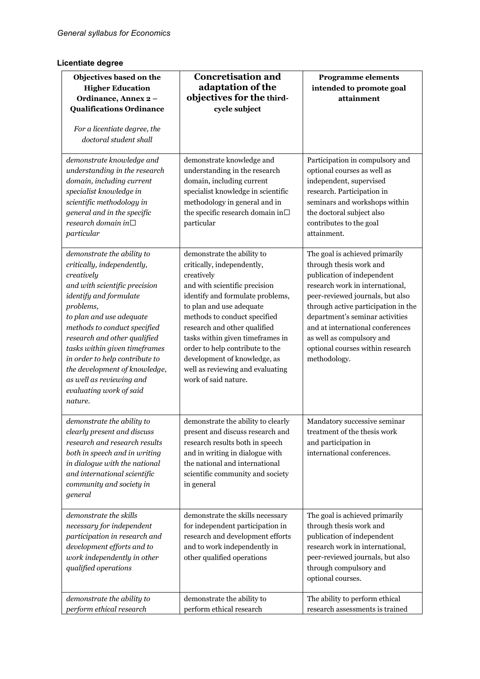## **Licentiate degree**

| Objectives based on the<br><b>Higher Education</b><br>Ordinance, Annex 2-<br><b>Qualifications Ordinance</b><br>For a licentiate degree, the<br>doctoral student shall                                                                                                                                                                                                                                           | <b>Concretisation and</b><br>adaptation of the<br>objectives for the third-<br>cycle subject                                                                                                                                                                                                                                                                                                               | <b>Programme elements</b><br>intended to promote goal<br>attainment                                                                                                                                                                                                                                                                                           |
|------------------------------------------------------------------------------------------------------------------------------------------------------------------------------------------------------------------------------------------------------------------------------------------------------------------------------------------------------------------------------------------------------------------|------------------------------------------------------------------------------------------------------------------------------------------------------------------------------------------------------------------------------------------------------------------------------------------------------------------------------------------------------------------------------------------------------------|---------------------------------------------------------------------------------------------------------------------------------------------------------------------------------------------------------------------------------------------------------------------------------------------------------------------------------------------------------------|
| demonstrate knowledge and<br>understanding in the research<br>domain, including current<br>specialist knowledge in<br>scientific methodology in<br>general and in the specific<br>research domain in $\square$<br>particular                                                                                                                                                                                     | demonstrate knowledge and<br>understanding in the research<br>domain, including current<br>specialist knowledge in scientific<br>methodology in general and in<br>the specific research domain $\mathrm{in}\square$<br>particular                                                                                                                                                                          | Participation in compulsory and<br>optional courses as well as<br>independent, supervised<br>research. Participation in<br>seminars and workshops within<br>the doctoral subject also<br>contributes to the goal<br>attainment.                                                                                                                               |
| demonstrate the ability to<br>critically, independently,<br>creatively<br>and with scientific precision<br>identify and formulate<br>problems,<br>to plan and use adequate<br>methods to conduct specified<br>research and other qualified<br>tasks within given timeframes<br>in order to help contribute to<br>the development of knowledge,<br>as well as reviewing and<br>evaluating work of said<br>nature. | demonstrate the ability to<br>critically, independently,<br>creatively<br>and with scientific precision<br>identify and formulate problems,<br>to plan and use adequate<br>methods to conduct specified<br>research and other qualified<br>tasks within given timeframes in<br>order to help contribute to the<br>development of knowledge, as<br>well as reviewing and evaluating<br>work of said nature. | The goal is achieved primarily<br>through thesis work and<br>publication of independent<br>research work in international,<br>peer-reviewed journals, but also<br>through active participation in the<br>department's seminar activities<br>and at international conferences<br>as well as compulsory and<br>optional courses within research<br>methodology. |
| demonstrate the ability to<br>clearly present and discuss<br>research and research results<br>both in speech and in writing<br>in dialogue with the national<br>and international scientific<br>community and society in<br>general                                                                                                                                                                              | demonstrate the ability to clearly<br>present and discuss research and<br>research results both in speech<br>and in writing in dialogue with<br>the national and international<br>scientific community and society<br>in general                                                                                                                                                                           | Mandatory successive seminar<br>treatment of the thesis work<br>and participation in<br>international conferences.                                                                                                                                                                                                                                            |
| demonstrate the skills<br>necessary for independent<br>participation in research and<br>development efforts and to<br>work independently in other<br>qualified operations                                                                                                                                                                                                                                        | demonstrate the skills necessary<br>for independent participation in<br>research and development efforts<br>and to work independently in<br>other qualified operations                                                                                                                                                                                                                                     | The goal is achieved primarily<br>through thesis work and<br>publication of independent<br>research work in international,<br>peer-reviewed journals, but also<br>through compulsory and<br>optional courses.                                                                                                                                                 |
| demonstrate the ability to<br>perform ethical research                                                                                                                                                                                                                                                                                                                                                           | demonstrate the ability to<br>perform ethical research                                                                                                                                                                                                                                                                                                                                                     | The ability to perform ethical<br>research assessments is trained                                                                                                                                                                                                                                                                                             |